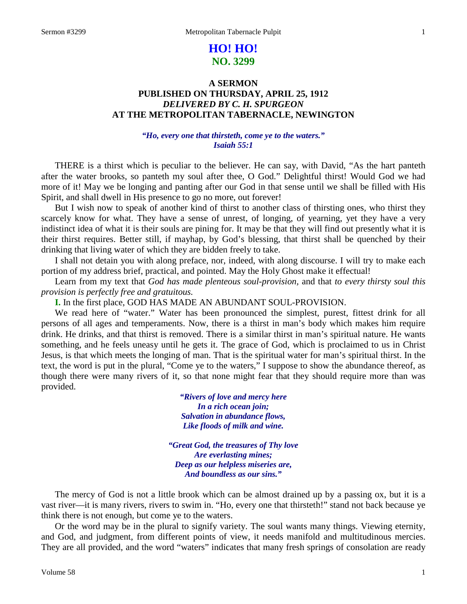# **HO! HO! NO. 3299**

# **A SERMON PUBLISHED ON THURSDAY, APRIL 25, 1912** *DELIVERED BY C. H. SPURGEON* **AT THE METROPOLITAN TABERNACLE, NEWINGTON**

# *"Ho, every one that thirsteth, come ye to the waters." Isaiah 55:1*

THERE is a thirst which is peculiar to the believer. He can say, with David, "As the hart panteth after the water brooks, so panteth my soul after thee, O God." Delightful thirst! Would God we had more of it! May we be longing and panting after our God in that sense until we shall be filled with His Spirit, and shall dwell in His presence to go no more, out forever!

But I wish now to speak of another kind of thirst to another class of thirsting ones, who thirst they scarcely know for what. They have a sense of unrest, of longing, of yearning, yet they have a very indistinct idea of what it is their souls are pining for. It may be that they will find out presently what it is their thirst requires. Better still, if mayhap, by God's blessing, that thirst shall be quenched by their drinking that living water of which they are bidden freely to take.

I shall not detain you with along preface, nor, indeed, with along discourse. I will try to make each portion of my address brief, practical, and pointed. May the Holy Ghost make it effectual!

Learn from my text that *God has made plenteous soul-provision,* and that *to every thirsty soul this provision is perfectly free and gratuitous.*

**I.** In the first place, GOD HAS MADE AN ABUNDANT SOUL-PROVISION.

We read here of "water." Water has been pronounced the simplest, purest, fittest drink for all persons of all ages and temperaments. Now, there is a thirst in man's body which makes him require drink. He drinks, and that thirst is removed. There is a similar thirst in man's spiritual nature. He wants something, and he feels uneasy until he gets it. The grace of God, which is proclaimed to us in Christ Jesus, is that which meets the longing of man. That is the spiritual water for man's spiritual thirst. In the text, the word is put in the plural, "Come ye to the waters," I suppose to show the abundance thereof, as though there were many rivers of it, so that none might fear that they should require more than was provided.

> *"Rivers of love and mercy here In a rich ocean join; Salvation in abundance flows, Like floods of milk and wine.*

*"Great God, the treasures of Thy love Are everlasting mines; Deep as our helpless miseries are, And boundless as our sins."*

The mercy of God is not a little brook which can be almost drained up by a passing ox, but it is a vast river—it is many rivers, rivers to swim in. "Ho, every one that thirsteth!" stand not back because ye think there is not enough, but come ye to the waters.

Or the word may be in the plural to signify variety. The soul wants many things. Viewing eternity, and God, and judgment, from different points of view, it needs manifold and multitudinous mercies. They are all provided, and the word "waters" indicates that many fresh springs of consolation are ready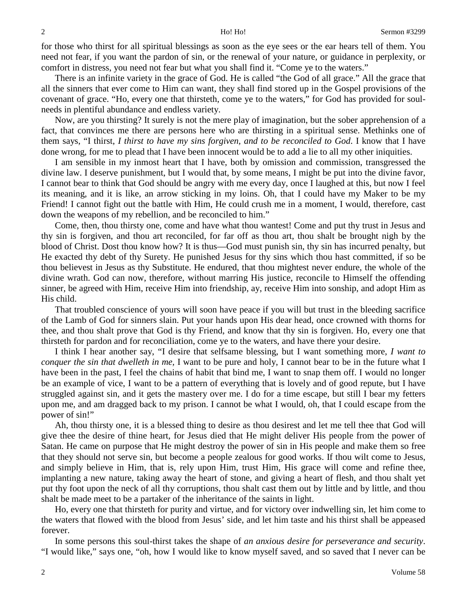for those who thirst for all spiritual blessings as soon as the eye sees or the ear hears tell of them. You need not fear, if you want the pardon of sin, or the renewal of your nature, or guidance in perplexity, or comfort in distress, you need not fear but what you shall find it. "Come ye to the waters."

There is an infinite variety in the grace of God. He is called "the God of all grace." All the grace that all the sinners that ever come to Him can want, they shall find stored up in the Gospel provisions of the covenant of grace. "Ho, every one that thirsteth, come ye to the waters," for God has provided for soulneeds in plentiful abundance and endless variety.

Now, are you thirsting? It surely is not the mere play of imagination, but the sober apprehension of a fact, that convinces me there are persons here who are thirsting in a spiritual sense. Methinks one of them says, "I thirst, *I thirst to have my sins forgiven, and to be reconciled to God*. I know that I have done wrong, for me to plead that I have been innocent would be to add a lie to all my other iniquities.

I am sensible in my inmost heart that I have, both by omission and commission, transgressed the divine law. I deserve punishment, but I would that, by some means, I might be put into the divine favor, I cannot bear to think that God should be angry with me every day, once I laughed at this, but now I feel its meaning, and it is like, an arrow sticking in my loins. Oh, that I could have my Maker to be my Friend! I cannot fight out the battle with Him, He could crush me in a moment, I would, therefore, cast down the weapons of my rebellion, and be reconciled to him."

Come, then, thou thirsty one, come and have what thou wantest! Come and put thy trust in Jesus and thy sin is forgiven, and thou art reconciled, for far off as thou art, thou shalt be brought nigh by the blood of Christ. Dost thou know how? It is thus—God must punish sin, thy sin has incurred penalty, but He exacted thy debt of thy Surety. He punished Jesus for thy sins which thou hast committed, if so be thou believest in Jesus as thy Substitute. He endured, that thou mightest never endure, the whole of the divine wrath. God can now, therefore, without marring His justice, reconcile to Himself the offending sinner, be agreed with Him, receive Him into friendship, ay, receive Him into sonship, and adopt Him as His child.

That troubled conscience of yours will soon have peace if you will but trust in the bleeding sacrifice of the Lamb of God for sinners slain. Put your hands upon His dear head, once crowned with thorns for thee, and thou shalt prove that God is thy Friend, and know that thy sin is forgiven. Ho, every one that thirsteth for pardon and for reconciliation, come ye to the waters, and have there your desire.

I think I hear another say, "I desire that selfsame blessing, but I want something more, *I want to conquer the sin that dwelleth in me,* I want to be pure and holy, I cannot bear to be in the future what I have been in the past, I feel the chains of habit that bind me, I want to snap them off. I would no longer be an example of vice, I want to be a pattern of everything that is lovely and of good repute, but I have struggled against sin, and it gets the mastery over me. I do for a time escape, but still I bear my fetters upon me, and am dragged back to my prison. I cannot be what I would, oh, that I could escape from the power of sin!"

Ah, thou thirsty one, it is a blessed thing to desire as thou desirest and let me tell thee that God will give thee the desire of thine heart, for Jesus died that He might deliver His people from the power of Satan. He came on purpose that He might destroy the power of sin in His people and make them so free that they should not serve sin, but become a people zealous for good works. If thou wilt come to Jesus, and simply believe in Him, that is, rely upon Him, trust Him, His grace will come and refine thee, implanting a new nature, taking away the heart of stone, and giving a heart of flesh, and thou shalt yet put thy foot upon the neck of all thy corruptions, thou shalt cast them out by little and by little, and thou shalt be made meet to be a partaker of the inheritance of the saints in light.

Ho, every one that thirsteth for purity and virtue, and for victory over indwelling sin, let him come to the waters that flowed with the blood from Jesus' side, and let him taste and his thirst shall be appeased forever.

In some persons this soul-thirst takes the shape of *an anxious desire for perseverance and security*. "I would like," says one, "oh, how I would like to know myself saved, and so saved that I never can be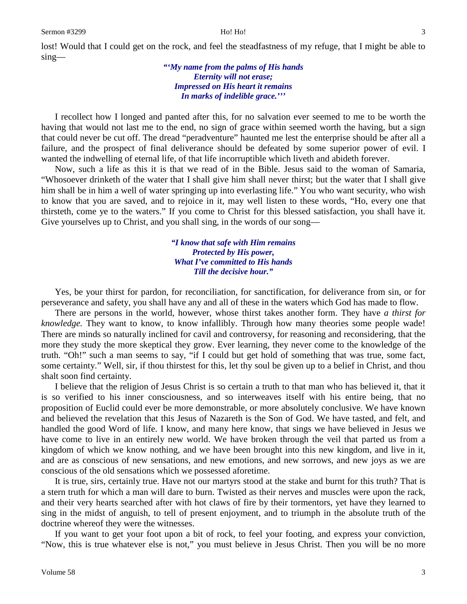lost! Would that I could get on the rock, and feel the steadfastness of my refuge, that I might be able to sing—

# *"'My name from the palms of His hands Eternity will not erase; Impressed on His heart it remains In marks of indelible grace.'''*

I recollect how I longed and panted after this, for no salvation ever seemed to me to be worth the having that would not last me to the end, no sign of grace within seemed worth the having, but a sign that could never be cut off. The dread "peradventure" haunted me lest the enterprise should be after all a failure, and the prospect of final deliverance should be defeated by some superior power of evil. I wanted the indwelling of eternal life, of that life incorruptible which liveth and abideth forever.

Now, such a life as this it is that we read of in the Bible. Jesus said to the woman of Samaria, "Whosoever drinketh of the water that I shall give him shall never thirst; but the water that I shall give him shall be in him a well of water springing up into everlasting life." You who want security, who wish to know that you are saved, and to rejoice in it, may well listen to these words, "Ho, every one that thirsteth, come ye to the waters." If you come to Christ for this blessed satisfaction, you shall have it. Give yourselves up to Christ, and you shall sing, in the words of our song—

> *"I know that safe with Him remains Protected by His power, What I've committed to His hands Till the decisive hour."*

Yes, be your thirst for pardon, for reconciliation, for sanctification, for deliverance from sin, or for perseverance and safety, you shall have any and all of these in the waters which God has made to flow.

There are persons in the world, however, whose thirst takes another form. They have *a thirst for knowledge.* They want to know, to know infallibly. Through how many theories some people wade! There are minds so naturally inclined for cavil and controversy, for reasoning and reconsidering, that the more they study the more skeptical they grow. Ever learning, they never come to the knowledge of the truth. "Oh!" such a man seems to say, "if I could but get hold of something that was true, some fact, some certainty." Well, sir, if thou thirstest for this, let thy soul be given up to a belief in Christ, and thou shalt soon find certainty.

I believe that the religion of Jesus Christ is so certain a truth to that man who has believed it, that it is so verified to his inner consciousness, and so interweaves itself with his entire being, that no proposition of Euclid could ever be more demonstrable, or more absolutely conclusive. We have known and believed the revelation that this Jesus of Nazareth is the Son of God. We have tasted, and felt, and handled the good Word of life. I know, and many here know, that sings we have believed in Jesus we have come to live in an entirely new world. We have broken through the veil that parted us from a kingdom of which we know nothing, and we have been brought into this new kingdom, and live in it, and are as conscious of new sensations, and new emotions, and new sorrows, and new joys as we are conscious of the old sensations which we possessed aforetime.

It is true, sirs, certainly true. Have not our martyrs stood at the stake and burnt for this truth? That is a stern truth for which a man will dare to burn. Twisted as their nerves and muscles were upon the rack, and their very hearts searched after with hot claws of fire by their tormentors, yet have they learned to sing in the midst of anguish, to tell of present enjoyment, and to triumph in the absolute truth of the doctrine whereof they were the witnesses.

If you want to get your foot upon a bit of rock, to feel your footing, and express your conviction, "Now, this is true whatever else is not," you must believe in Jesus Christ. Then you will be no more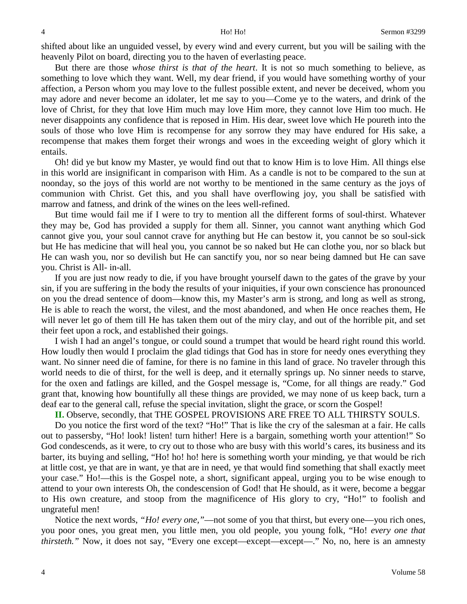shifted about like an unguided vessel, by every wind and every current, but you will be sailing with the heavenly Pilot on board, directing you to the haven of everlasting peace.

But there are those *whose thirst is that of the heart*. It is not so much something to believe, as something to love which they want. Well, my dear friend, if you would have something worthy of your affection, a Person whom you may love to the fullest possible extent, and never be deceived, whom you may adore and never become an idolater, let me say to you—Come ye to the waters, and drink of the love of Christ, for they that love Him much may love Him more, they cannot love Him too much. He never disappoints any confidence that is reposed in Him. His dear, sweet love which He poureth into the souls of those who love Him is recompense for any sorrow they may have endured for His sake, a recompense that makes them forget their wrongs and woes in the exceeding weight of glory which it entails.

Oh! did ye but know my Master, ye would find out that to know Him is to love Him. All things else in this world are insignificant in comparison with Him. As a candle is not to be compared to the sun at noonday, so the joys of this world are not worthy to be mentioned in the same century as the joys of communion with Christ. Get this, and you shall have overflowing joy, you shall be satisfied with marrow and fatness, and drink of the wines on the lees well-refined.

But time would fail me if I were to try to mention all the different forms of soul-thirst. Whatever they may be, God has provided a supply for them all. Sinner, you cannot want anything which God cannot give you, your soul cannot crave for anything but He can bestow it, you cannot be so soul-sick but He has medicine that will heal you, you cannot be so naked but He can clothe you, nor so black but He can wash you, nor so devilish but He can sanctify you, nor so near being damned but He can save you. Christ is All- in-all.

If you are just now ready to die, if you have brought yourself dawn to the gates of the grave by your sin, if you are suffering in the body the results of your iniquities, if your own conscience has pronounced on you the dread sentence of doom—know this, my Master's arm is strong, and long as well as strong, He is able to reach the worst, the vilest, and the most abandoned, and when He once reaches them, He will never let go of them till He has taken them out of the miry clay, and out of the horrible pit, and set their feet upon a rock, and established their goings.

I wish I had an angel's tongue, or could sound a trumpet that would be heard right round this world. How loudly then would I proclaim the glad tidings that God has in store for needy ones everything they want. No sinner need die of famine, for there is no famine in this land of grace. No traveler through this world needs to die of thirst, for the well is deep, and it eternally springs up. No sinner needs to starve, for the oxen and fatlings are killed, and the Gospel message is, "Come, for all things are ready." God grant that, knowing how bountifully all these things are provided, we may none of us keep back, turn a deaf ear to the general call, refuse the special invitation, slight the grace, or scorn the Gospel!

**II.** Observe, secondly, that THE GOSPEL PROVISIONS ARE FREE TO ALL THIRSTY SOULS.

Do you notice the first word of the text? "Ho!" That is like the cry of the salesman at a fair. He calls out to passersby, "Ho! look! listen! turn hither! Here is a bargain, something worth your attention!" So God condescends, as it were, to cry out to those who are busy with this world's cares, its business and its barter, its buying and selling, "Ho! ho! ho! here is something worth your minding, ye that would be rich at little cost, ye that are in want, ye that are in need, ye that would find something that shall exactly meet your case." Ho!—this is the Gospel note, a short, significant appeal, urging you to be wise enough to attend to your own interests Oh, the condescension of God! that He should, as it were, become a beggar to His own creature, and stoop from the magnificence of His glory to cry, "Ho!" to foolish and ungrateful men!

Notice the next words, *"Ho! every one,"*—not some of you that thirst, but every one—you rich ones, you poor ones, you great men, you little men, you old people, you young folk, "Ho! *every one that thirsteth."* Now, it does not say, "Every one except—except—except—." No, no, here is an amnesty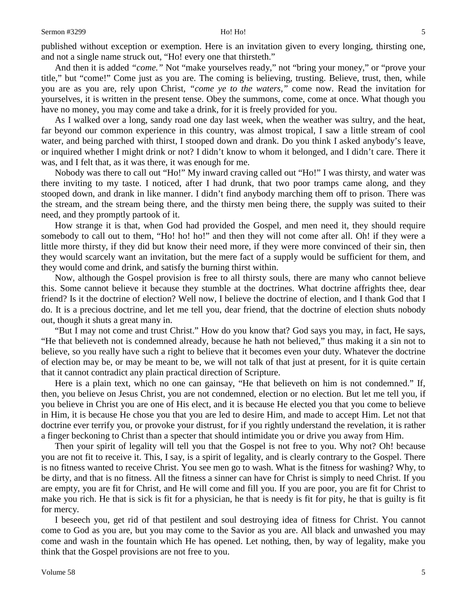And then it is added *"come."* Not "make yourselves ready," not "bring your money," or "prove your title," but "come!" Come just as you are. The coming is believing, trusting. Believe, trust, then, while you are as you are, rely upon Christ, *"come ye to the waters,"* come now. Read the invitation for yourselves, it is written in the present tense. Obey the summons, come, come at once. What though you have no money, you may come and take a drink, for it is freely provided for you.

As I walked over a long, sandy road one day last week, when the weather was sultry, and the heat, far beyond our common experience in this country, was almost tropical, I saw a little stream of cool water, and being parched with thirst, I stooped down and drank. Do you think I asked anybody's leave, or inquired whether I might drink or not? I didn't know to whom it belonged, and I didn't care. There it was, and I felt that, as it was there, it was enough for me.

Nobody was there to call out "Ho!" My inward craving called out "Ho!" I was thirsty, and water was there inviting to my taste. I noticed, after I had drunk, that two poor tramps came along, and they stooped down, and drank in like manner. I didn't find anybody marching them off to prison. There was the stream, and the stream being there, and the thirsty men being there, the supply was suited to their need, and they promptly partook of it.

How strange it is that, when God had provided the Gospel, and men need it, they should require somebody to call out to them, "Ho! ho! ho!" and then they will not come after all. Oh! if they were a little more thirsty, if they did but know their need more, if they were more convinced of their sin, then they would scarcely want an invitation, but the mere fact of a supply would be sufficient for them, and they would come and drink, and satisfy the burning thirst within.

Now, although the Gospel provision is free to all thirsty souls, there are many who cannot believe this. Some cannot believe it because they stumble at the doctrines. What doctrine affrights thee, dear friend? Is it the doctrine of election? Well now, I believe the doctrine of election, and I thank God that I do. It is a precious doctrine, and let me tell you, dear friend, that the doctrine of election shuts nobody out, though it shuts a great many in.

"But I may not come and trust Christ." How do you know that? God says you may, in fact, He says, "He that believeth not is condemned already, because he hath not believed," thus making it a sin not to believe, so you really have such a right to believe that it becomes even your duty. Whatever the doctrine of election may be, or may be meant to be, we will not talk of that just at present, for it is quite certain that it cannot contradict any plain practical direction of Scripture.

Here is a plain text, which no one can gainsay, "He that believeth on him is not condemned." If, then, you believe on Jesus Christ, you are not condemned, election or no election. But let me tell you, if you believe in Christ you are one of His elect, and it is because He elected you that you come to believe in Him, it is because He chose you that you are led to desire Him, and made to accept Him. Let not that doctrine ever terrify you, or provoke your distrust, for if you rightly understand the revelation, it is rather a finger beckoning to Christ than a specter that should intimidate you or drive you away from Him.

Then your spirit of legality will tell you that the Gospel is not free to you. Why not? Oh! because you are not fit to receive it. This, I say, is a spirit of legality, and is clearly contrary to the Gospel. There is no fitness wanted to receive Christ. You see men go to wash. What is the fitness for washing? Why, to be dirty, and that is no fitness. All the fitness a sinner can have for Christ is simply to need Christ. If you are empty, you are fit for Christ, and He will come and fill you. If you are poor, you are fit for Christ to make you rich. He that is sick is fit for a physician, he that is needy is fit for pity, he that is guilty is fit for mercy.

I beseech you, get rid of that pestilent and soul destroying idea of fitness for Christ. You cannot come to God as you are, but you may come to the Savior as you are. All black and unwashed you may come and wash in the fountain which He has opened. Let nothing, then, by way of legality, make you think that the Gospel provisions are not free to you.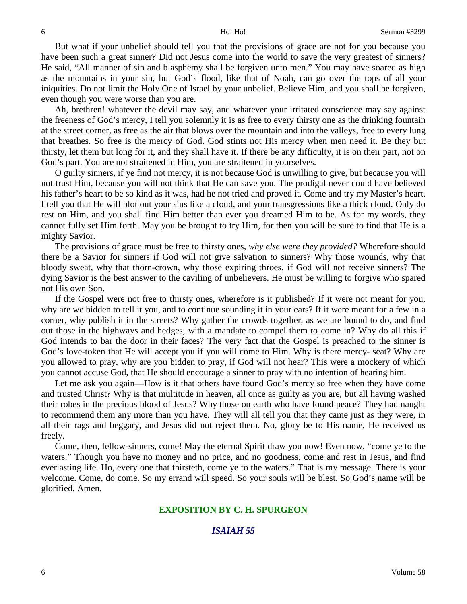But what if your unbelief should tell you that the provisions of grace are not for you because you have been such a great sinner? Did not Jesus come into the world to save the very greatest of sinners? He said, "All manner of sin and blasphemy shall be forgiven unto men." You may have soared as high as the mountains in your sin, but God's flood, like that of Noah, can go over the tops of all your iniquities. Do not limit the Holy One of Israel by your unbelief. Believe Him, and you shall be forgiven, even though you were worse than you are.

Ah, brethren! whatever the devil may say, and whatever your irritated conscience may say against the freeness of God's mercy, I tell you solemnly it is as free to every thirsty one as the drinking fountain at the street corner, as free as the air that blows over the mountain and into the valleys, free to every lung that breathes. So free is the mercy of God. God stints not His mercy when men need it. Be they but thirsty, let them but long for it, and they shall have it. If there be any difficulty, it is on their part, not on God's part. You are not straitened in Him, you are straitened in yourselves.

O guilty sinners, if ye find not mercy, it is not because God is unwilling to give, but because you will not trust Him, because you will not think that He can save you. The prodigal never could have believed his father's heart to be so kind as it was, had he not tried and proved it. Come and try my Master's heart. I tell you that He will blot out your sins like a cloud, and your transgressions like a thick cloud. Only do rest on Him, and you shall find Him better than ever you dreamed Him to be. As for my words, they cannot fully set Him forth. May you be brought to try Him, for then you will be sure to find that He is a mighty Savior.

The provisions of grace must be free to thirsty ones, *why else were they provided?* Wherefore should there be a Savior for sinners if God will not give salvation *to* sinners? Why those wounds, why that bloody sweat, why that thorn-crown, why those expiring throes, if God will not receive sinners? The dying Savior is the best answer to the caviling of unbelievers. He must be willing to forgive who spared not His own Son.

If the Gospel were not free to thirsty ones, wherefore is it published? If it were not meant for you, why are we bidden to tell it you, and to continue sounding it in your ears? If it were meant for a few in a corner, why publish it in the streets? Why gather the crowds together, as we are bound to do, and find out those in the highways and hedges, with a mandate to compel them to come in? Why do all this if God intends to bar the door in their faces? The very fact that the Gospel is preached to the sinner is God's love-token that He will accept you if you will come to Him. Why is there mercy- seat? Why are you allowed to pray, why are you bidden to pray, if God will not hear? This were a mockery of which you cannot accuse God, that He should encourage a sinner to pray with no intention of hearing him.

Let me ask you again—How is it that others have found God's mercy so free when they have come and trusted Christ? Why is that multitude in heaven, all once as guilty as you are, but all having washed their robes in the precious blood of Jesus? Why those on earth who have found peace? They had naught to recommend them any more than you have. They will all tell you that they came just as they were, in all their rags and beggary, and Jesus did not reject them. No, glory be to His name, He received us freely.

Come, then, fellow-sinners, come! May the eternal Spirit draw you now! Even now, "come ye to the waters." Though you have no money and no price, and no goodness, come and rest in Jesus, and find everlasting life. Ho, every one that thirsteth, come ye to the waters." That is my message. There is your welcome. Come, do come. So my errand will speed. So your souls will be blest. So God's name will be glorified. Amen.

### **EXPOSITION BY C. H. SPURGEON**

# *ISAIAH 55*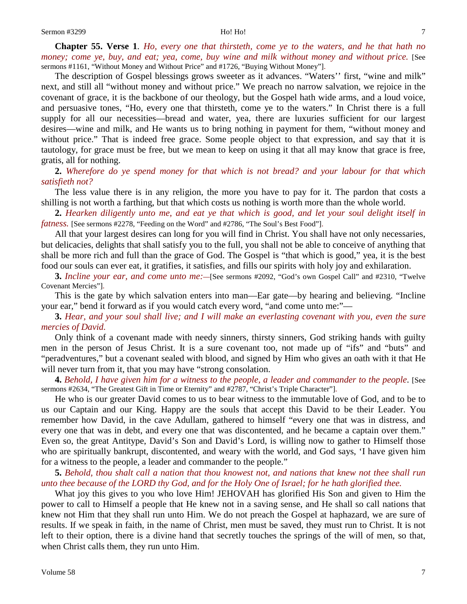**Chapter 55. Verse 1**. *Ho, every one that thirsteth, come ye to the waters, and he that hath no money; come ye, buy, and eat; yea, come, buy wine and milk without money and without price.* [See sermons #1161, "Without Money and Without Price" and #1726, "Buying Without Money"].

The description of Gospel blessings grows sweeter as it advances. "Waters'' first, "wine and milk" next, and still all "without money and without price." We preach no narrow salvation, we rejoice in the covenant of grace, it is the backbone of our theology, but the Gospel hath wide arms, and a loud voice, and persuasive tones, "Ho, every one that thirsteth, come ye to the waters." In Christ there is a full supply for all our necessities—bread and water, yea, there are luxuries sufficient for our largest desires—wine and milk, and He wants us to bring nothing in payment for them, "without money and without price." That is indeed free grace. Some people object to that expression, and say that it is tautology, for grace must be free, but we mean to keep on using it that all may know that grace is free, gratis, all for nothing.

**2.** *Wherefore do ye spend money for that which is not bread? and your labour for that which satisfieth not?*

The less value there is in any religion, the more you have to pay for it. The pardon that costs a shilling is not worth a farthing, but that which costs us nothing is worth more than the whole world.

**2.** *Hearken diligently unto me, and eat ye that which is good, and let your soul delight itself in fatness.* [See sermons #2278, "Feeding on the Word" and #2786, "The Soul's Best Food"].

All that your largest desires can long for you will find in Christ. You shall have not only necessaries, but delicacies, delights that shall satisfy you to the full, you shall not be able to conceive of anything that shall be more rich and full than the grace of God. The Gospel is "that which is good," yea, it is the best food our souls can ever eat, it gratifies, it satisfies, and fills our spirits with holy joy and exhilaration.

**3.** *Incline your ear, and come unto me:—*[See sermons #2092, "God's own Gospel Call" and #2310, "Twelve Covenant Mercies"].

This is the gate by which salvation enters into man—Ear gate—by hearing and believing. "Incline your ear," bend it forward as if you would catch every word, "and come unto me:"—

**3.** *Hear, and your soul shall live; and I will make an everlasting covenant with you, even the sure mercies of David.*

Only think of a covenant made with needy sinners, thirsty sinners, God striking hands with guilty men in the person of Jesus Christ. It is a sure covenant too, not made up of "ifs" and "buts" and "peradventures," but a covenant sealed with blood, and signed by Him who gives an oath with it that He will never turn from it, that you may have "strong consolation.

**4.** *Behold, I have given him for a witness to the people, a leader and commander to the people*. [See sermons #2634, "The Greatest Gift in Time or Eternity" and #2787, "Christ's Triple Character"].

He who is our greater David comes to us to bear witness to the immutable love of God, and to be to us our Captain and our King. Happy are the souls that accept this David to be their Leader. You remember how David, in the cave Adullam, gathered to himself "every one that was in distress, and every one that was in debt, and every one that was discontented, and he became a captain over them." Even so, the great Antitype, David's Son and David's Lord, is willing now to gather to Himself those who are spiritually bankrupt, discontented, and weary with the world, and God says, 'I have given him for a witness to the people, a leader and commander to the people."

**5.** *Behold, thou shalt call a nation that thou knowest not, and nations that knew not thee shall run unto thee because of the LORD thy God, and for the Holy One of Israel; for he hath glorified thee.*

What joy this gives to you who love Him! JEHOVAH has glorified His Son and given to Him the power to call to Himself a people that He knew not in a saving sense, and He shall so call nations that knew not Him that they shall run unto Him. We do not preach the Gospel at haphazard, we are sure of results. If we speak in faith, in the name of Christ, men must be saved, they must run to Christ. It is not left to their option, there is a divine hand that secretly touches the springs of the will of men, so that, when Christ calls them, they run unto Him.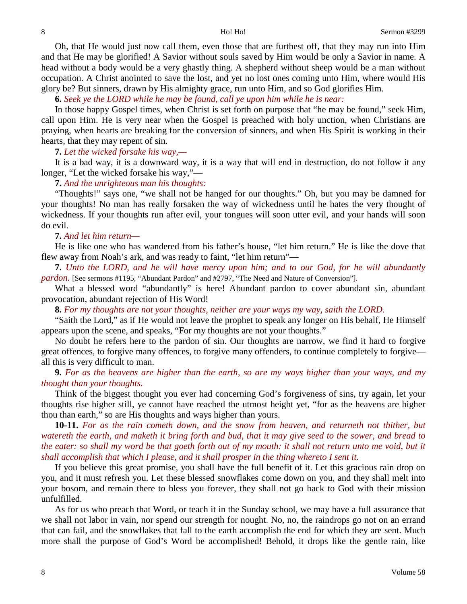Oh, that He would just now call them, even those that are furthest off, that they may run into Him and that He may be glorified! A Savior without souls saved by Him would be only a Savior in name. A head without a body would be a very ghastly thing. A shepherd without sheep would be a man without occupation. A Christ anointed to save the lost, and yet no lost ones coming unto Him, where would His glory be? But sinners, drawn by His almighty grace, run unto Him, and so God glorifies Him.

**6.** *Seek ye the LORD while he may be found, call ye upon him while he is near:*

In those happy Gospel times, when Christ is set forth on purpose that "he may be found," seek Him, call upon Him. He is very near when the Gospel is preached with holy unction, when Christians are praying, when hearts are breaking for the conversion of sinners, and when His Spirit is working in their hearts, that they may repent of sin.

**7.** *Let the wicked forsake his way,—*

It is a bad way, it is a downward way, it is a way that will end in destruction, do not follow it any longer, "Let the wicked forsake his way,"—

# **7.** *And the unrighteous man his thoughts:*

"Thoughts!" says one, "we shall not be hanged for our thoughts." Oh, but you may be damned for your thoughts! No man has really forsaken the way of wickedness until he hates the very thought of wickedness. If your thoughts run after evil, your tongues will soon utter evil, and your hands will soon do evil.

## **7.** *And let him return—*

He is like one who has wandered from his father's house, "let him return." He is like the dove that flew away from Noah's ark, and was ready to faint, "let him return"—

**7.** *Unto the LORD, and he will have mercy upon him; and to our God, for he will abundantly pardon.* [See sermons #1195, "Abundant Pardon" and #2797, "The Need and Nature of Conversion"].

What a blessed word "abundantly" is here! Abundant pardon to cover abundant sin, abundant provocation, abundant rejection of His Word!

**8.** *For my thoughts are not your thoughts, neither are your ways my way, saith the LORD.*

"Saith the Lord," as if He would not leave the prophet to speak any longer on His behalf, He Himself appears upon the scene, and speaks, "For my thoughts are not your thoughts."

No doubt he refers here to the pardon of sin. Our thoughts are narrow, we find it hard to forgive great offences, to forgive many offences, to forgive many offenders, to continue completely to forgive all this is very difficult to man.

**9.** *For as the heavens are higher than the earth, so are my ways higher than your ways, and my thought than your thoughts.*

Think of the biggest thought you ever had concerning God's forgiveness of sins, try again, let your thoughts rise higher still, ye cannot have reached the utmost height yet, "for as the heavens are higher thou than earth," so are His thoughts and ways higher than yours.

**10-11.** *For as the rain cometh down, and the snow from heaven, and returneth not thither, but watereth the earth, and maketh it bring forth and bud, that it may give seed to the sower, and bread to the eater: so shall my word be that goeth forth out of my mouth: it shall not return unto me void, but it shall accomplish that which I please, and it shall prosper in the thing whereto I sent it.*

If you believe this great promise, you shall have the full benefit of it. Let this gracious rain drop on you, and it must refresh you. Let these blessed snowflakes come down on you, and they shall melt into your bosom, and remain there to bless you forever, they shall not go back to God with their mission unfulfilled.

As for us who preach that Word, or teach it in the Sunday school, we may have a full assurance that we shall not labor in vain, nor spend our strength for nought. No, no, the raindrops go not on an errand that can fail, and the snowflakes that fall to the earth accomplish the end for which they are sent. Much more shall the purpose of God's Word be accomplished! Behold, it drops like the gentle rain, like